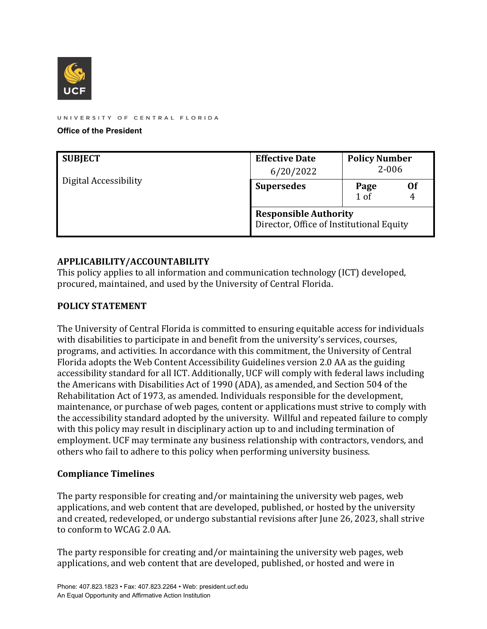

UNIVERSITY OF CENTRAL FLORIDA

**Office of the President**

| <b>SUBJECT</b>        | <b>Effective Date</b><br>6/20/2022                                       | <b>Policy Number</b><br>$2 - 006$ |    |
|-----------------------|--------------------------------------------------------------------------|-----------------------------------|----|
| Digital Accessibility | <b>Supersedes</b>                                                        | Page<br>1 <sub>0</sub> f          | Of |
|                       | <b>Responsible Authority</b><br>Director, Office of Institutional Equity |                                   |    |

## **APPLICABILITY/ACCOUNTABILITY**

This policy applies to all information and communication technology (ICT) developed, procured, maintained, and used by the University of Central Florida.

#### **POLICY STATEMENT**

The University of Central Florida is committed to ensuring equitable access for individuals with disabilities to participate in and benefit from the university's services, courses, programs, and activities. In accordance with this commitment, the University of Central Florida adopts the Web Content Accessibility Guidelines version 2.0 AA as the guiding accessibility standard for all ICT. Additionally, UCF will comply with federal laws including the Americans with Disabilities Act of 1990 (ADA), as amended, and Section 504 of the Rehabilitation Act of 1973, as amended. Individuals responsible for the development, maintenance, or purchase of web pages, content or applications must strive to comply with the accessibility standard adopted by the university. Willful and repeated failure to comply with this policy may result in disciplinary action up to and including termination of employment. UCF may terminate any business relationship with contractors, vendors, and others who fail to adhere to this policy when performing university business.

#### **Compliance Timelines**

The party responsible for creating and/or maintaining the university web pages, web applications, and web content that are developed, published, or hosted by the university and created, redeveloped, or undergo substantial revisions after June 26, 2023, shall strive to conform to WCAG 2.0 AA.

The party responsible for creating and/or maintaining the university web pages, web applications, and web content that are developed, published, or hosted and were in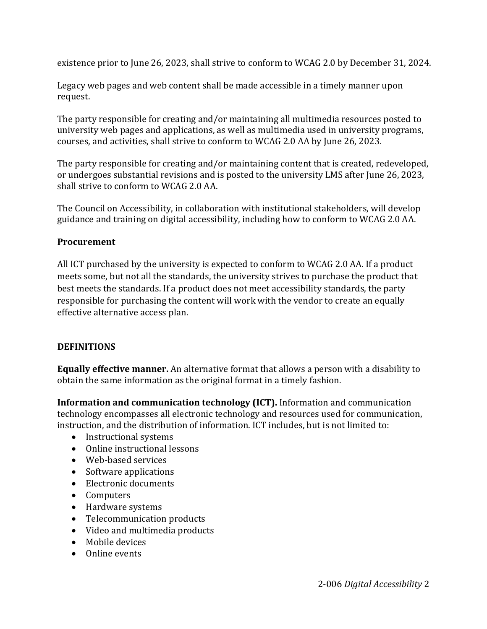existence prior to June 26, 2023, shall strive to conform to WCAG 2.0 by December 31, 2024.

Legacy web pages and web content shall be made accessible in a timely manner upon request.

The party responsible for creating and/or maintaining all multimedia resources posted to university web pages and applications, as well as multimedia used in university programs, courses, and activities, shall strive to conform to WCAG 2.0 AA by June 26, 2023.

The party responsible for creating and/or maintaining content that is created, redeveloped, or undergoes substantial revisions and is posted to the university LMS after June 26, 2023, shall strive to conform to WCAG 2.0 AA.

The Council on Accessibility, in collaboration with institutional stakeholders, will develop guidance and training on digital accessibility, including how to conform to WCAG 2.0 AA.

## **Procurement**

All ICT purchased by the university is expected to conform to WCAG 2.0 AA. If a product meets some, but not all the standards, the university strives to purchase the product that best meets the standards. If a product does not meet accessibility standards, the party responsible for purchasing the content will work with the vendor to create an equally effective alternative access plan.

# **DEFINITIONS**

**Equally effective manner.** An alternative format that allows a person with a disability to obtain the same information as the original format in a timely fashion.

**Information and communication technology (ICT).** Information and communication technology encompasses all electronic technology and resources used for communication, instruction, and the distribution of information. ICT includes, but is not limited to:

- Instructional systems
- Online instructional lessons
- Web-based services
- Software applications
- Electronic documents
- Computers
- Hardware systems
- Telecommunication products
- Video and multimedia products
- Mobile devices
- Online events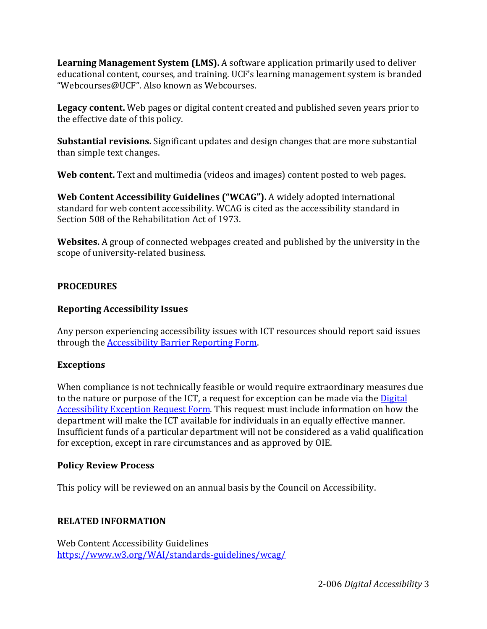**Learning Management System (LMS).** A software application primarily used to deliver educational content, courses, and training. UCF's learning management system is branded "Webcourses@UCF". Also known as Webcourses.

**Legacy content.** Web pages or digital content created and published seven years prior to the effective date of this policy.

**Substantial revisions.** Significant updates and design changes that are more substantial than simple text changes.

**Web content.** Text and multimedia (videos and images) content posted to web pages.

**Web Content Accessibility Guidelines ("WCAG").** A widely adopted international standard for web content accessibility. WCAG is cited as the accessibility standard in Section 508 of the Rehabilitation Act of 1973.

**Websites.** A group of connected webpages created and published by the university in the scope of university-related business.

# **PROCEDURES**

## **Reporting Accessibility Issues**

Any person experiencing accessibility issues with ICT resources should report said issues through the [Accessibility Barrier Reporting Form.](https://ucf.qualtrics.com/jfe/form/SV_abEhBYnBSeoL7Mi) 

# **Exceptions**

When compliance is not technically feasible or would require extraordinary measures due to the nature or purpose of the ICT, a request for exception can be made via th[e Digital](https://ucf.qualtrics.com/jfe/form/SV_2hnEgl75LKU615c)  [Accessibility Exception Request Form.](https://ucf.qualtrics.com/jfe/form/SV_2hnEgl75LKU615c) This request must include information on how the department will make the ICT available for individuals in an equally effective manner. Insufficient funds of a particular department will not be considered as a valid qualification for exception, except in rare circumstances and as approved by OIE.

## **Policy Review Process**

This policy will be reviewed on an annual basis by the Council on Accessibility.

## **RELATED INFORMATION**

 <https://www.w3.org/WAI/standards-guidelines/wcag/> Web Content Accessibility Guidelines